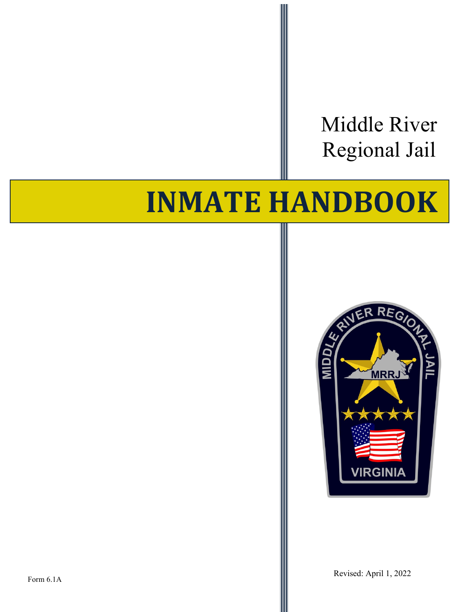Middle River Regional Jail

# **INMATE HANDBOOK**

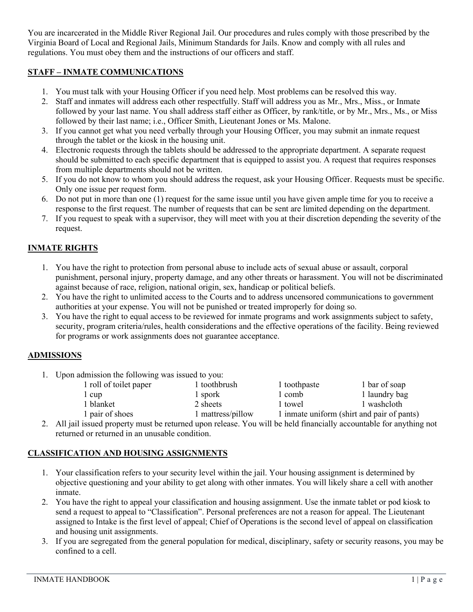You are incarcerated in the Middle River Regional Jail. Our procedures and rules comply with those prescribed by the Virginia Board of Local and Regional Jails, Minimum Standards for Jails. Know and comply with all rules and regulations. You must obey them and the instructions of our officers and staff.

## **STAFF – INMATE COMMUNICATIONS**

- 1. You must talk with your Housing Officer if you need help. Most problems can be resolved this way.
- 2. Staff and inmates will address each other respectfully. Staff will address you as Mr., Mrs., Miss., or Inmate followed by your last name. You shall address staff either as Officer, by rank/title, or by Mr., Mrs., Ms., or Miss followed by their last name; i.e., Officer Smith, Lieutenant Jones or Ms. Malone.
- 3. If you cannot get what you need verbally through your Housing Officer, you may submit an inmate request through the tablet or the kiosk in the housing unit.
- 4. Electronic requests through the tablets should be addressed to the appropriate department. A separate request should be submitted to each specific department that is equipped to assist you. A request that requires responses from multiple departments should not be written.
- 5. If you do not know to whom you should address the request, ask your Housing Officer. Requests must be specific. Only one issue per request form.
- 6. Do not put in more than one (1) request for the same issue until you have given ample time for you to receive a response to the first request. The number of requests that can be sent are limited depending on the department.
- 7. If you request to speak with a supervisor, they will meet with you at their discretion depending the severity of the request.

# **INMATE RIGHTS**

- 1. You have the right to protection from personal abuse to include acts of sexual abuse or assault, corporal punishment, personal injury, property damage, and any other threats or harassment. You will not be discriminated against because of race, religion, national origin, sex, handicap or political beliefs.
- 2. You have the right to unlimited access to the Courts and to address uncensored communications to government authorities at your expense. You will not be punished or treated improperly for doing so.
- 3. You have the right to equal access to be reviewed for inmate programs and work assignments subject to safety, security, program criteria/rules, health considerations and the effective operations of the facility. Being reviewed for programs or work assignments does not guarantee acceptance.

## **ADMISSIONS**

1. Upon admission the following was issued to you:

| 1 roll of toilet paper | 1 toothbrush      | 1 toothpaste                               | 1 bar of soap |
|------------------------|-------------------|--------------------------------------------|---------------|
| 1 cup                  | l spork           | 1 comb                                     | 1 laundry bag |
| 1 blanket              | 2 sheets          | 1 towel                                    | 1 washcloth   |
| 1 pair of shoes        | 1 mattress/pillow | 1 inmate uniform (shirt and pair of pants) |               |

2. All jail issued property must be returned upon release. You will be held financially accountable for anything not returned or returned in an unusable condition.

## **CLASSIFICATION AND HOUSING ASSIGNMENTS**

- 1. Your classification refers to your security level within the jail. Your housing assignment is determined by objective questioning and your ability to get along with other inmates. You will likely share a cell with another inmate.
- 2. You have the right to appeal your classification and housing assignment. Use the inmate tablet or pod kiosk to send a request to appeal to "Classification". Personal preferences are not a reason for appeal. The Lieutenant assigned to Intake is the first level of appeal; Chief of Operations is the second level of appeal on classification and housing unit assignments.
- 3. If you are segregated from the general population for medical, disciplinary, safety or security reasons, you may be confined to a cell.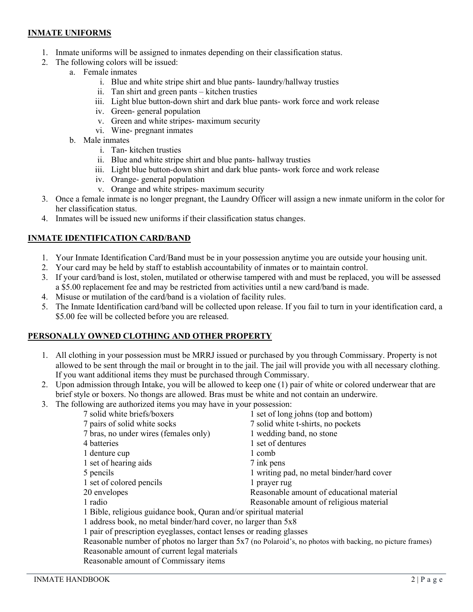#### **INMATE UNIFORMS**

- 1. Inmate uniforms will be assigned to inmates depending on their classification status.
- 2. The following colors will be issued:
	- a. Female inmates
		- i. Blue and white stripe shirt and blue pants- laundry/hallway trusties
		- ii. Tan shirt and green pants kitchen trusties
		- iii. Light blue button-down shirt and dark blue pants- work force and work release
		- iv. Green- general population
		- v. Green and white stripes- maximum security
		- vi. Wine- pregnant inmates
		- b. Male inmates
			- i. Tan- kitchen trusties
			- ii. Blue and white stripe shirt and blue pants- hallway trusties
			- iii. Light blue button-down shirt and dark blue pants- work force and work release
			- iv. Orange- general population
			- v. Orange and white stripes- maximum security
- 3. Once a female inmate is no longer pregnant, the Laundry Officer will assign a new inmate uniform in the color for her classification status.
- 4. Inmates will be issued new uniforms if their classification status changes.

## **INMATE IDENTIFICATION CARD/BAND**

- 1. Your Inmate Identification Card/Band must be in your possession anytime you are outside your housing unit.
- 2. Your card may be held by staff to establish accountability of inmates or to maintain control.
- 3. If your card/band is lost, stolen, mutilated or otherwise tampered with and must be replaced, you will be assessed a \$5.00 replacement fee and may be restricted from activities until a new card/band is made.
- 4. Misuse or mutilation of the card/band is a violation of facility rules.
- 5. The Inmate Identification card/band will be collected upon release. If you fail to turn in your identification card, a \$5.00 fee will be collected before you are released.

#### **PERSONALLY OWNED CLOTHING AND OTHER PROPERTY**

- 1. All clothing in your possession must be MRRJ issued or purchased by you through Commissary. Property is not allowed to be sent through the mail or brought in to the jail. The jail will provide you with all necessary clothing. If you want additional items they must be purchased through Commissary.
- 2. Upon admission through Intake, you will be allowed to keep one (1) pair of white or colored underwear that are brief style or boxers. No thongs are allowed. Bras must be white and not contain an underwire.
- 3. The following are authorized items you may have in your possession:

| 7 solid white briefs/boxers                                                                               | 1 set of long johns (top and bottom)      |  |
|-----------------------------------------------------------------------------------------------------------|-------------------------------------------|--|
| 7 pairs of solid white socks                                                                              | 7 solid white t-shirts, no pockets        |  |
| 7 bras, no under wires (females only)                                                                     | 1 wedding band, no stone                  |  |
| 4 batteries                                                                                               | 1 set of dentures                         |  |
| 1 denture cup                                                                                             | 1 comb                                    |  |
| 1 set of hearing aids                                                                                     | 7 ink pens                                |  |
| 5 pencils                                                                                                 | 1 writing pad, no metal binder/hard cover |  |
| 1 set of colored pencils                                                                                  | l prayer rug                              |  |
| 20 envelopes                                                                                              | Reasonable amount of educational material |  |
| 1 radio                                                                                                   | Reasonable amount of religious material   |  |
| 1 Bible, religious guidance book, Quran and/or spiritual material                                         |                                           |  |
| 1 address book, no metal binder/hard cover, no larger than 5x8                                            |                                           |  |
| 1 pair of prescription eyeglasses, contact lenses or reading glasses                                      |                                           |  |
| Reasonable number of photos no larger than 5x7 (no Polaroid's, no photos with backing, no picture frames) |                                           |  |
| Reasonable amount of current legal materials                                                              |                                           |  |
| Reasonable amount of Commissary items                                                                     |                                           |  |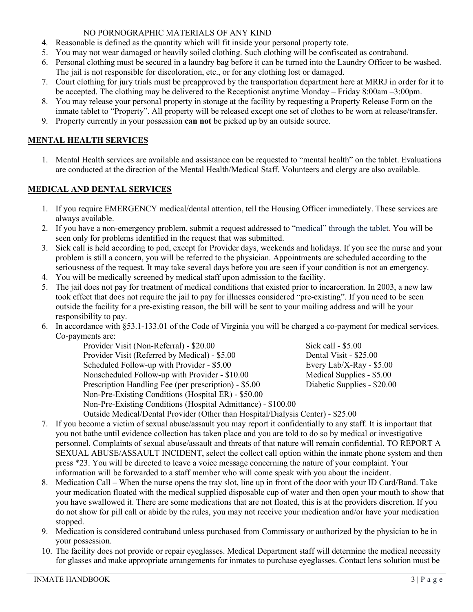#### NO PORNOGRAPHIC MATERIALS OF ANY KIND

- 4. Reasonable is defined as the quantity which will fit inside your personal property tote.
- 5. You may not wear damaged or heavily soiled clothing. Such clothing will be confiscated as contraband.
- 6. Personal clothing must be secured in a laundry bag before it can be turned into the Laundry Officer to be washed. The jail is not responsible for discoloration, etc., or for any clothing lost or damaged.
- 7. Court clothing for jury trials must be preapproved by the transportation department here at MRRJ in order for it to be accepted. The clothing may be delivered to the Receptionist anytime Monday – Friday 8:00am –3:00pm.
- 8. You may release your personal property in storage at the facility by requesting a Property Release Form on the inmate tablet to "Property". All property will be released except one set of clothes to be worn at release/transfer.
- 9. Property currently in your possession **can not** be picked up by an outside source.

## **MENTAL HEALTH SERVICES**

1. Mental Health services are available and assistance can be requested to "mental health" on the tablet. Evaluations are conducted at the direction of the Mental Health/Medical Staff. Volunteers and clergy are also available.

# **MEDICAL AND DENTAL SERVICES**

- 1. If you require EMERGENCY medical/dental attention, tell the Housing Officer immediately. These services are always available.
- 2. If you have a non-emergency problem, submit a request addressed to "medical" through the tablet. You will be seen only for problems identified in the request that was submitted.
- 3. Sick call is held according to pod, except for Provider days, weekends and holidays. If you see the nurse and your problem is still a concern, you will be referred to the physician. Appointments are scheduled according to the seriousness of the request. It may take several days before you are seen if your condition is not an emergency.
- 4. You will be medically screened by medical staff upon admission to the facility.
- 5. The jail does not pay for treatment of medical conditions that existed prior to incarceration. In 2003, a new law took effect that does not require the jail to pay for illnesses considered "pre-existing". If you need to be seen outside the facility for a pre-existing reason, the bill will be sent to your mailing address and will be your responsibility to pay.
- 6. In accordance with §53.1-133.01 of the Code of Virginia you will be charged a co-payment for medical services. Co-payments are:

| Provider Visit (Non-Referral) - \$20.00                      | Sick call - \$5.00          |
|--------------------------------------------------------------|-----------------------------|
| Provider Visit (Referred by Medical) - \$5.00                | Dental Visit - \$25.00      |
| Scheduled Follow-up with Provider - \$5.00                   | Every Lab/X-Ray - $$5.00$   |
| Nonscheduled Follow-up with Provider - \$10.00               | Medical Supplies - \$5.00   |
| Prescription Handling Fee (per prescription) - \$5.00        | Diabetic Supplies - \$20.00 |
| Non-Pre-Existing Conditions (Hospital ER) - \$50.00          |                             |
| Non-Pre-Existing Conditions (Hospital Admittance) - \$100.00 |                             |

Outside Medical/Dental Provider (Other than Hospital/Dialysis Center) - \$25.00

- 7. If you become a victim of sexual abuse/assault you may report it confidentially to any staff. It is important that you not bathe until evidence collection has taken place and you are told to do so by medical or investigative personnel. Complaints of sexual abuse/assault and threats of that nature will remain confidential. TO REPORT A SEXUAL ABUSE/ASSAULT INCIDENT, select the collect call option within the inmate phone system and then press \*23. You will be directed to leave a voice message concerning the nature of your complaint. Your information will be forwarded to a staff member who will come speak with you about the incident.
- 8. Medication Call When the nurse opens the tray slot, line up in front of the door with your ID Card/Band. Take your medication floated with the medical supplied disposable cup of water and then open your mouth to show that you have swallowed it. There are some medications that are not floated, this is at the providers discretion. If you do not show for pill call or abide by the rules, you may not receive your medication and/or have your medication stopped.
- 9. Medication is considered contraband unless purchased from Commissary or authorized by the physician to be in your possession.
- 10. The facility does not provide or repair eyeglasses. Medical Department staff will determine the medical necessity for glasses and make appropriate arrangements for inmates to purchase eyeglasses. Contact lens solution must be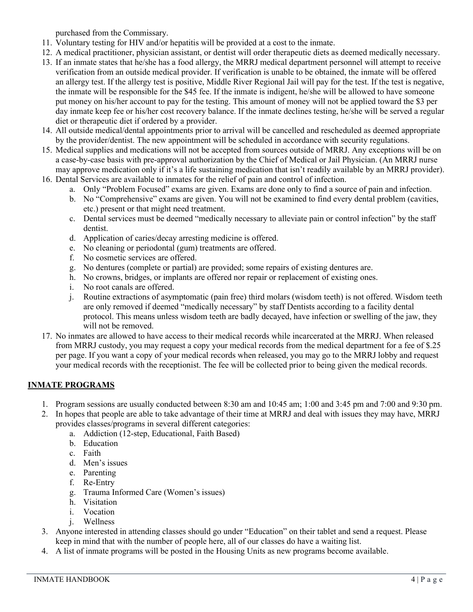purchased from the Commissary.

- 11. Voluntary testing for HIV and/or hepatitis will be provided at a cost to the inmate.
- 12. A medical practitioner, physician assistant, or dentist will order therapeutic diets as deemed medically necessary.
- 13. If an inmate states that he/she has a food allergy, the MRRJ medical department personnel will attempt to receive verification from an outside medical provider. If verification is unable to be obtained, the inmate will be offered an allergy test. If the allergy test is positive, Middle River Regional Jail will pay for the test. If the test is negative, the inmate will be responsible for the \$45 fee. If the inmate is indigent, he/she will be allowed to have someone put money on his/her account to pay for the testing. This amount of money will not be applied toward the \$3 per day inmate keep fee or his/her cost recovery balance. If the inmate declines testing, he/she will be served a regular diet or therapeutic diet if ordered by a provider.
- 14. All outside medical/dental appointments prior to arrival will be cancelled and rescheduled as deemed appropriate by the provider/dentist. The new appointment will be scheduled in accordance with security regulations.
- 15. Medical supplies and medications will not be accepted from sources outside of MRRJ. Any exceptions will be on a case-by-case basis with pre-approval authorization by the Chief of Medical or Jail Physician. (An MRRJ nurse may approve medication only if it's a life sustaining medication that isn't readily available by an MRRJ provider).
- 16. Dental Services are available to inmates for the relief of pain and control of infection.
	- a. Only "Problem Focused" exams are given. Exams are done only to find a source of pain and infection.
	- b. No "Comprehensive" exams are given. You will not be examined to find every dental problem (cavities, etc.) present or that might need treatment.
	- c. Dental services must be deemed "medically necessary to alleviate pain or control infection" by the staff dentist.
	- d. Application of caries/decay arresting medicine is offered.
	- e. No cleaning or periodontal (gum) treatments are offered.
	- f. No cosmetic services are offered.
	- g. No dentures (complete or partial) are provided; some repairs of existing dentures are.
	- h. No crowns, bridges, or implants are offered nor repair or replacement of existing ones.
	- i. No root canals are offered.
	- j. Routine extractions of asymptomatic (pain free) third molars (wisdom teeth) is not offered. Wisdom teeth are only removed if deemed "medically necessary" by staff Dentists according to a facility dental protocol. This means unless wisdom teeth are badly decayed, have infection or swelling of the jaw, they will not be removed.
- 17. No inmates are allowed to have access to their medical records while incarcerated at the MRRJ. When released from MRRJ custody, you may request a copy your medical records from the medical department for a fee of \$.25 per page. If you want a copy of your medical records when released, you may go to the MRRJ lobby and request your medical records with the receptionist. The fee will be collected prior to being given the medical records.

## **INMATE PROGRAMS**

- 1. Program sessions are usually conducted between 8:30 am and 10:45 am; 1:00 and 3:45 pm and 7:00 and 9:30 pm.
- 2. In hopes that people are able to take advantage of their time at MRRJ and deal with issues they may have, MRRJ provides classes/programs in several different categories:
	- a. Addiction (12-step, Educational, Faith Based)
	- b. Education
	- c. Faith
	- d. Men's issues
	- e. Parenting
	- f. Re-Entry
	- g. Trauma Informed Care (Women's issues)
	- h. Visitation
	- i. Vocation
	- j. Wellness
- 3. Anyone interested in attending classes should go under "Education" on their tablet and send a request. Please keep in mind that with the number of people here, all of our classes do have a waiting list.
- 4. A list of inmate programs will be posted in the Housing Units as new programs become available.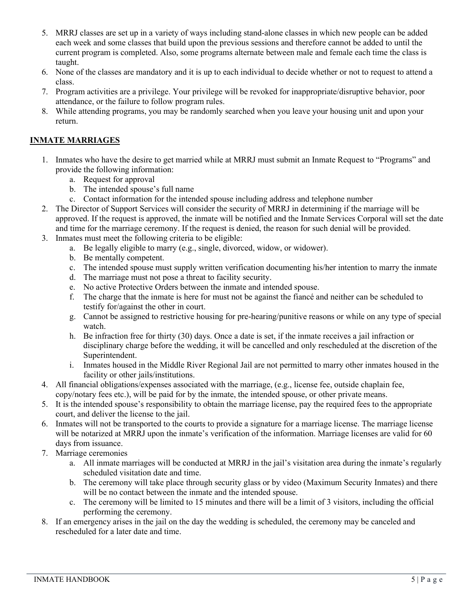- 5. MRRJ classes are set up in a variety of ways including stand-alone classes in which new people can be added each week and some classes that build upon the previous sessions and therefore cannot be added to until the current program is completed. Also, some programs alternate between male and female each time the class is taught.
- 6. None of the classes are mandatory and it is up to each individual to decide whether or not to request to attend a class.
- 7. Program activities are a privilege. Your privilege will be revoked for inappropriate/disruptive behavior, poor attendance, or the failure to follow program rules.
- 8. While attending programs, you may be randomly searched when you leave your housing unit and upon your return.

## **INMATE MARRIAGES**

- 1. Inmates who have the desire to get married while at MRRJ must submit an Inmate Request to "Programs" and provide the following information:
	- a. Request for approval
	- b. The intended spouse's full name
	- c. Contact information for the intended spouse including address and telephone number
- 2. The Director of Support Services will consider the security of MRRJ in determining if the marriage will be approved. If the request is approved, the inmate will be notified and the Inmate Services Corporal will set the date and time for the marriage ceremony. If the request is denied, the reason for such denial will be provided.
- 3. Inmates must meet the following criteria to be eligible:
	- a. Be legally eligible to marry (e.g., single, divorced, widow, or widower).
	- b. Be mentally competent.
	- c. The intended spouse must supply written verification documenting his/her intention to marry the inmate
	- d. The marriage must not pose a threat to facility security.
	- e. No active Protective Orders between the inmate and intended spouse.
	- f. The charge that the inmate is here for must not be against the fiancé and neither can be scheduled to testify for/against the other in court.
	- g. Cannot be assigned to restrictive housing for pre-hearing/punitive reasons or while on any type of special watch.
	- h. Be infraction free for thirty (30) days. Once a date is set, if the inmate receives a jail infraction or disciplinary charge before the wedding, it will be cancelled and only rescheduled at the discretion of the Superintendent.
	- i. Inmates housed in the Middle River Regional Jail are not permitted to marry other inmates housed in the facility or other jails/institutions.
- 4. All financial obligations/expenses associated with the marriage, (e.g., license fee, outside chaplain fee, copy/notary fees etc.), will be paid for by the inmate, the intended spouse, or other private means.
- 5. It is the intended spouse's responsibility to obtain the marriage license, pay the required fees to the appropriate court, and deliver the license to the jail.
- 6. Inmates will not be transported to the courts to provide a signature for a marriage license. The marriage license will be notarized at MRRJ upon the inmate's verification of the information. Marriage licenses are valid for 60 days from issuance.
- 7. Marriage ceremonies
	- a. All inmate marriages will be conducted at MRRJ in the jail's visitation area during the inmate's regularly scheduled visitation date and time.
	- b. The ceremony will take place through security glass or by video (Maximum Security Inmates) and there will be no contact between the inmate and the intended spouse.
	- c. The ceremony will be limited to 15 minutes and there will be a limit of 3 visitors, including the official performing the ceremony.
- 8. If an emergency arises in the jail on the day the wedding is scheduled, the ceremony may be canceled and rescheduled for a later date and time.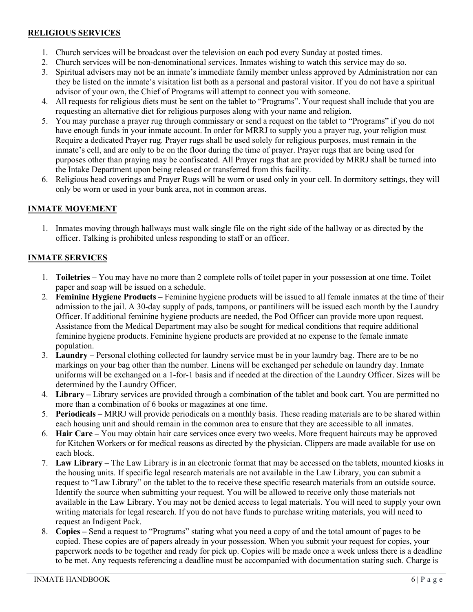#### **RELIGIOUS SERVICES**

- 1. Church services will be broadcast over the television on each pod every Sunday at posted times.
- 2. Church services will be non-denominational services. Inmates wishing to watch this service may do so.
- 3. Spiritual advisers may not be an inmate's immediate family member unless approved by Administration nor can they be listed on the inmate's visitation list both as a personal and pastoral visitor. If you do not have a spiritual advisor of your own, the Chief of Programs will attempt to connect you with someone.
- 4. All requests for religious diets must be sent on the tablet to "Programs". Your request shall include that you are requesting an alternative diet for religious purposes along with your name and religion.
- 5. You may purchase a prayer rug through commissary or send a request on the tablet to "Programs" if you do not have enough funds in your inmate account. In order for MRRJ to supply you a prayer rug, your religion must Require a dedicated Prayer rug. Prayer rugs shall be used solely for religious purposes, must remain in the inmate's cell, and are only to be on the floor during the time of prayer. Prayer rugs that are being used for purposes other than praying may be confiscated. All Prayer rugs that are provided by MRRJ shall be turned into the Intake Department upon being released or transferred from this facility.
- 6. Religious head coverings and Prayer Rugs will be worn or used only in your cell. In dormitory settings, they will only be worn or used in your bunk area, not in common areas.

#### **INMATE MOVEMENT**

1. Inmates moving through hallways must walk single file on the right side of the hallway or as directed by the officer. Talking is prohibited unless responding to staff or an officer.

#### **INMATE SERVICES**

- 1. **Toiletries –** You may have no more than 2 complete rolls of toilet paper in your possession at one time. Toilet paper and soap will be issued on a schedule.
- 2. **Feminine Hygiene Products –** Feminine hygiene products will be issued to all female inmates at the time of their admission to the jail. A 30-day supply of pads, tampons, or pantiliners will be issued each month by the Laundry Officer. If additional feminine hygiene products are needed, the Pod Officer can provide more upon request. Assistance from the Medical Department may also be sought for medical conditions that require additional feminine hygiene products. Feminine hygiene products are provided at no expense to the female inmate population.
- 3. **Laundry –** Personal clothing collected for laundry service must be in your laundry bag. There are to be no markings on your bag other than the number. Linens will be exchanged per schedule on laundry day. Inmate uniforms will be exchanged on a 1-for-1 basis and if needed at the direction of the Laundry Officer. Sizes will be determined by the Laundry Officer.
- 4. **Library –** Library services are provided through a combination of the tablet and book cart. You are permitted no more than a combination of 6 books or magazines at one time.
- 5. **Periodicals –** MRRJ will provide periodicals on a monthly basis. These reading materials are to be shared within each housing unit and should remain in the common area to ensure that they are accessible to all inmates.
- 6. **Hair Care –** You may obtain hair care services once every two weeks. More frequent haircuts may be approved for Kitchen Workers or for medical reasons as directed by the physician. Clippers are made available for use on each block.
- 7. **Law Library –** The Law Library is in an electronic format that may be accessed on the tablets, mounted kiosks in the housing units. If specific legal research materials are not available in the Law Library, you can submit a request to "Law Library" on the tablet to the to receive these specific research materials from an outside source. Identify the source when submitting your request. You will be allowed to receive only those materials not available in the Law Library. You may not be denied access to legal materials. You will need to supply your own writing materials for legal research. If you do not have funds to purchase writing materials, you will need to request an Indigent Pack.
- 8. **Copies –** Send a request to "Programs" stating what you need a copy of and the total amount of pages to be copied. These copies are of papers already in your possession. When you submit your request for copies, your paperwork needs to be together and ready for pick up. Copies will be made once a week unless there is a deadline to be met. Any requests referencing a deadline must be accompanied with documentation stating such. Charge is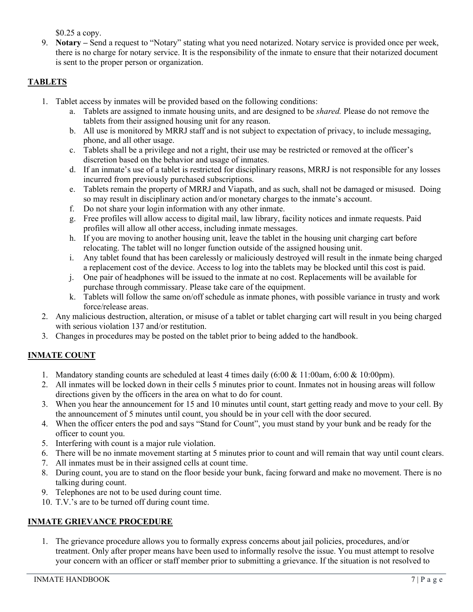\$0.25 a copy.

9. **Notary –** Send a request to "Notary" stating what you need notarized. Notary service is provided once per week, there is no charge for notary service. It is the responsibility of the inmate to ensure that their notarized document is sent to the proper person or organization.

## **TABLETS**

- 1. Tablet access by inmates will be provided based on the following conditions:
	- a. Tablets are assigned to inmate housing units, and are designed to be *shared.* Please do not remove the tablets from their assigned housing unit for any reason.
	- b. All use is monitored by MRRJ staff and is not subject to expectation of privacy, to include messaging, phone, and all other usage.
	- c. Tablets shall be a privilege and not a right, their use may be restricted or removed at the officer's discretion based on the behavior and usage of inmates.
	- d. If an inmate's use of a tablet is restricted for disciplinary reasons, MRRJ is not responsible for any losses incurred from previously purchased subscriptions.
	- e. Tablets remain the property of MRRJ and Viapath, and as such, shall not be damaged or misused. Doing so may result in disciplinary action and/or monetary charges to the inmate's account.
	- f. Do not share your login information with any other inmate.
	- g. Free profiles will allow access to digital mail, law library, facility notices and inmate requests. Paid profiles will allow all other access, including inmate messages.
	- h. If you are moving to another housing unit, leave the tablet in the housing unit charging cart before relocating. The tablet will no longer function outside of the assigned housing unit.
	- i. Any tablet found that has been carelessly or maliciously destroyed will result in the inmate being charged a replacement cost of the device. Access to log into the tablets may be blocked until this cost is paid.
	- j. One pair of headphones will be issued to the inmate at no cost. Replacements will be available for purchase through commissary. Please take care of the equipment.
	- k. Tablets will follow the same on/off schedule as inmate phones, with possible variance in trusty and work force/release areas.
- 2. Any malicious destruction, alteration, or misuse of a tablet or tablet charging cart will result in you being charged with serious violation 137 and/or restitution.
- 3. Changes in procedures may be posted on the tablet prior to being added to the handbook.

## **INMATE COUNT**

- 1. Mandatory standing counts are scheduled at least 4 times daily (6:00 & 11:00am, 6:00 & 10:00pm).
- 2. All inmates will be locked down in their cells 5 minutes prior to count. Inmates not in housing areas will follow directions given by the officers in the area on what to do for count.
- 3. When you hear the announcement for 15 and 10 minutes until count, start getting ready and move to your cell. By the announcement of 5 minutes until count, you should be in your cell with the door secured.
- 4. When the officer enters the pod and says "Stand for Count", you must stand by your bunk and be ready for the officer to count you.
- 5. Interfering with count is a major rule violation.
- 6. There will be no inmate movement starting at 5 minutes prior to count and will remain that way until count clears.
- 7. All inmates must be in their assigned cells at count time.
- 8. During count, you are to stand on the floor beside your bunk, facing forward and make no movement. There is no talking during count.
- 9. Telephones are not to be used during count time.
- 10. T.V.'s are to be turned off during count time.

#### **INMATE GRIEVANCE PROCEDURE**

1. The grievance procedure allows you to formally express concerns about jail policies, procedures, and/or treatment. Only after proper means have been used to informally resolve the issue. You must attempt to resolve your concern with an officer or staff member prior to submitting a grievance. If the situation is not resolved to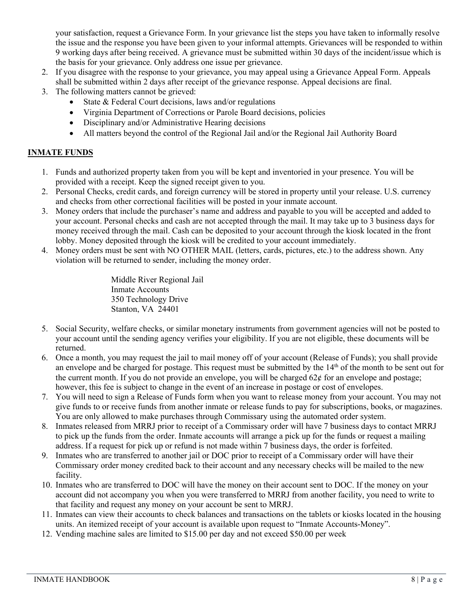your satisfaction, request a Grievance Form. In your grievance list the steps you have taken to informally resolve the issue and the response you have been given to your informal attempts. Grievances will be responded to within 9 working days after being received. A grievance must be submitted within 30 days of the incident/issue which is the basis for your grievance. Only address one issue per grievance.

- 2. If you disagree with the response to your grievance, you may appeal using a Grievance Appeal Form. Appeals shall be submitted within 2 days after receipt of the grievance response. Appeal decisions are final.
- 3. The following matters cannot be grieved:
	- State & Federal Court decisions, laws and/or regulations
	- Virginia Department of Corrections or Parole Board decisions, policies
	- Disciplinary and/or Administrative Hearing decisions
	- All matters beyond the control of the Regional Jail and/or the Regional Jail Authority Board

## **INMATE FUNDS**

- 1. Funds and authorized property taken from you will be kept and inventoried in your presence. You will be provided with a receipt. Keep the signed receipt given to you.
- 2. Personal Checks, credit cards, and foreign currency will be stored in property until your release. U.S. currency and checks from other correctional facilities will be posted in your inmate account.
- 3. Money orders that include the purchaser's name and address and payable to you will be accepted and added to your account. Personal checks and cash are not accepted through the mail. It may take up to 3 business days for money received through the mail. Cash can be deposited to your account through the kiosk located in the front lobby. Money deposited through the kiosk will be credited to your account immediately.
- 4. Money orders must be sent with NO OTHER MAIL (letters, cards, pictures, etc.) to the address shown. Any violation will be returned to sender, including the money order.

Middle River Regional Jail Inmate Accounts 350 Technology Drive Stanton, VA 24401

- 5. Social Security, welfare checks, or similar monetary instruments from government agencies will not be posted to your account until the sending agency verifies your eligibility. If you are not eligible, these documents will be returned.
- 6. Once a month, you may request the jail to mail money off of your account (Release of Funds); you shall provide an envelope and be charged for postage. This request must be submitted by the 14<sup>th</sup> of the month to be sent out for the current month. If you do not provide an envelope, you will be charged  $62¢$  for an envelope and postage; however, this fee is subject to change in the event of an increase in postage or cost of envelopes.
- 7. You will need to sign a Release of Funds form when you want to release money from your account. You may not give funds to or receive funds from another inmate or release funds to pay for subscriptions, books, or magazines. You are only allowed to make purchases through Commissary using the automated order system.
- 8. Inmates released from MRRJ prior to receipt of a Commissary order will have 7 business days to contact MRRJ to pick up the funds from the order. Inmate accounts will arrange a pick up for the funds or request a mailing address. If a request for pick up or refund is not made within 7 business days, the order is forfeited.
- 9. Inmates who are transferred to another jail or DOC prior to receipt of a Commissary order will have their Commissary order money credited back to their account and any necessary checks will be mailed to the new facility.
- 10. Inmates who are transferred to DOC will have the money on their account sent to DOC. If the money on your account did not accompany you when you were transferred to MRRJ from another facility, you need to write to that facility and request any money on your account be sent to MRRJ.
- 11. Inmates can view their accounts to check balances and transactions on the tablets or kiosks located in the housing units. An itemized receipt of your account is available upon request to "Inmate Accounts-Money".
- 12. Vending machine sales are limited to \$15.00 per day and not exceed \$50.00 per week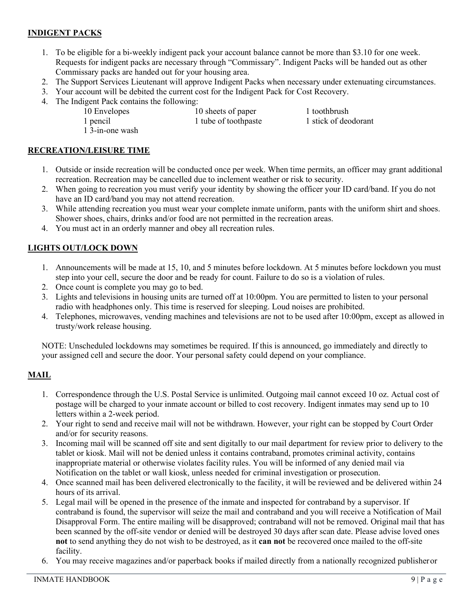## **INDIGENT PACKS**

- 1. To be eligible for a bi-weekly indigent pack your account balance cannot be more than \$3.10 for one week. Requests for indigent packs are necessary through "Commissary". Indigent Packs will be handed out as other Commissary packs are handed out for your housing area.
- 2. The Support Services Lieutenant will approve Indigent Packs when necessary under extenuating circumstances.
- 3. Your account will be debited the current cost for the Indigent Pack for Cost Recovery.
- 4. The Indigent Pack contains the following:<br>10 Envelopes 1

10 sheets of paper 1 toothbrush

1 pencil 1 tube of toothpaste 1 stick of deodorant

1 3-in-one wash

#### **RECREATION/LEISURE TIME**

- 1. Outside or inside recreation will be conducted once per week. When time permits, an officer may grant additional recreation. Recreation may be cancelled due to inclement weather or risk to security.
- 2. When going to recreation you must verify your identity by showing the officer your ID card/band. If you do not have an ID card/band you may not attend recreation.
- 3. While attending recreation you must wear your complete inmate uniform, pants with the uniform shirt and shoes. Shower shoes, chairs, drinks and/or food are not permitted in the recreation areas.
- 4. You must act in an orderly manner and obey all recreation rules.

#### **LIGHTS OUT/LOCK DOWN**

- 1. Announcements will be made at 15, 10, and 5 minutes before lockdown. At 5 minutes before lockdown you must step into your cell, secure the door and be ready for count. Failure to do so is a violation of rules.
- 2. Once count is complete you may go to bed.
- 3. Lights and televisions in housing units are turned off at 10:00pm. You are permitted to listen to your personal radio with headphones only. This time is reserved for sleeping. Loud noises are prohibited.
- 4. Telephones, microwaves, vending machines and televisions are not to be used after 10:00pm, except as allowed in trusty/work release housing.

NOTE: Unscheduled lockdowns may sometimes be required. If this is announced, go immediately and directly to your assigned cell and secure the door. Your personal safety could depend on your compliance.

#### **MAIL**

- 1. Correspondence through the U.S. Postal Service is unlimited. Outgoing mail cannot exceed 10 oz. Actual cost of postage will be charged to your inmate account or billed to cost recovery. Indigent inmates may send up to 10 letters within a 2-week period.
- 2. Your right to send and receive mail will not be withdrawn. However, your right can be stopped by Court Order and/or for security reasons.
- 3. Incoming mail will be scanned off site and sent digitally to our mail department for review prior to delivery to the tablet or kiosk. Mail will not be denied unless it contains contraband, promotes criminal activity, contains inappropriate material or otherwise violates facility rules. You will be informed of any denied mail via Notification on the tablet or wall kiosk, unless needed for criminal investigation or prosecution.
- 4. Once scanned mail has been delivered electronically to the facility, it will be reviewed and be delivered within 24 hours of its arrival.
- 5. Legal mail will be opened in the presence of the inmate and inspected for contraband by a supervisor. If contraband is found, the supervisor will seize the mail and contraband and you will receive a Notification of Mail Disapproval Form. The entire mailing will be disapproved; contraband will not be removed. Original mail that has been scanned by the off-site vendor or denied will be destroyed 30 days after scan date. Please advise loved ones **not** to send anything they do not wish to be destroyed, as it **can not** be recovered once mailed to the off-site facility.
- 6. You may receive magazines and/or paperback books if mailed directly from a nationally recognized publisheror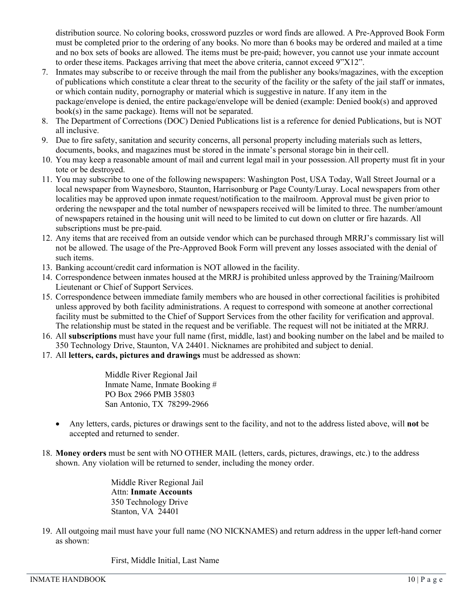distribution source. No coloring books, crossword puzzles or word finds are allowed. A Pre-Approved Book Form must be completed prior to the ordering of any books. No more than 6 books may be ordered and mailed at a time and no box sets of books are allowed. The items must be pre-paid; however, you cannot use your inmate account to order these items. Packages arriving that meet the above criteria, cannot exceed 9"X12".

- 7. Inmates may subscribe to or receive through the mail from the publisher any books/magazines, with the exception of publications which constitute a clear threat to the security of the facility or the safety of the jail staff or inmates, or which contain nudity, pornography or material which is suggestive in nature. If any item in the package/envelope is denied, the entire package/envelope will be denied (example: Denied book(s) and approved book(s) in the same package). Items will not be separated.
- 8. The Department of Corrections (DOC) Denied Publications list is a reference for denied Publications, but is NOT all inclusive.
- 9. Due to fire safety, sanitation and security concerns, all personal property including materials such as letters, documents, books, and magazines must be stored in the inmate's personal storage bin in their cell.
- 10. You may keep a reasonable amount of mail and current legal mail in your possession.All property must fit in your tote or be destroyed.
- 11. You may subscribe to one of the following newspapers: Washington Post, USA Today, Wall Street Journal or a local newspaper from Waynesboro, Staunton, Harrisonburg or Page County/Luray. Local newspapers from other localities may be approved upon inmate request/notification to the mailroom. Approval must be given prior to ordering the newspaper and the total number of newspapers received will be limited to three. The number/amount of newspapers retained in the housing unit will need to be limited to cut down on clutter or fire hazards. All subscriptions must be pre-paid.
- 12. Any items that are received from an outside vendor which can be purchased through MRRJ's commissary list will not be allowed. The usage of the Pre-Approved Book Form will prevent any losses associated with the denial of such items.
- 13. Banking account/credit card information is NOT allowed in the facility.
- 14. Correspondence between inmates housed at the MRRJ is prohibited unless approved by the Training/Mailroom Lieutenant or Chief of Support Services.
- 15. Correspondence between immediate family members who are housed in other correctional facilities is prohibited unless approved by both facility administrations. A request to correspond with someone at another correctional facility must be submitted to the Chief of Support Services from the other facility for verification and approval. The relationship must be stated in the request and be verifiable. The request will not be initiated at the MRRJ.
- 16. All **subscriptions** must have your full name (first, middle, last) and booking number on the label and be mailed to 350 Technology Drive, Staunton, VA 24401. Nicknames are prohibited and subject to denial.
- 17. All **letters, cards, pictures and drawings** must be addressed as shown:

Middle River Regional Jail Inmate Name, Inmate Booking # PO Box 2966 PMB 35803 San Antonio, TX 78299-2966

- Any letters, cards, pictures or drawings sent to the facility, and not to the address listed above, will **not** be accepted and returned to sender.
- 18. **Money orders** must be sent with NO OTHER MAIL (letters, cards, pictures, drawings, etc.) to the address shown. Any violation will be returned to sender, including the money order.

Middle River Regional Jail Attn: **Inmate Accounts** 350 Technology Drive Stanton, VA 24401

19. All outgoing mail must have your full name (NO NICKNAMES) and return address in the upper left-hand corner as shown:

First, Middle Initial, Last Name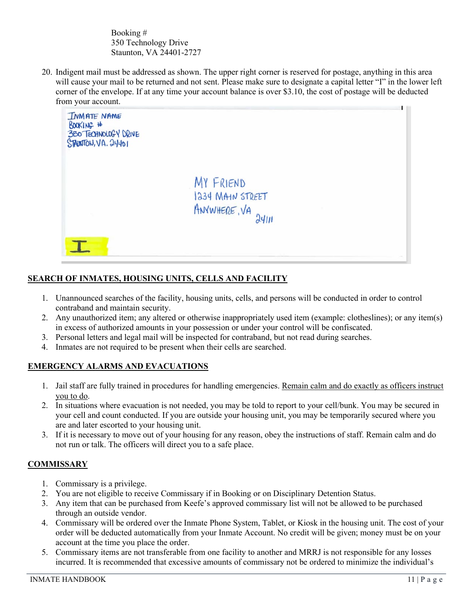Booking # 350 Technology Drive Staunton, VA 24401-2727

20. Indigent mail must be addressed as shown. The upper right corner is reserved for postage, anything in this area will cause your mail to be returned and not sent. Please make sure to designate a capital letter "I" in the lower left corner of the envelope. If at any time your account balance is over \$3.10, the cost of postage will be deducted from your account.



## **SEARCH OF INMATES, HOUSING UNITS, CELLS AND FACILITY**

- 1. Unannounced searches of the facility, housing units, cells, and persons will be conducted in order to control contraband and maintain security.
- 2. Any unauthorized item; any altered or otherwise inappropriately used item (example: clotheslines); or any item(s) in excess of authorized amounts in your possession or under your control will be confiscated.
- 3. Personal letters and legal mail will be inspected for contraband, but not read during searches.
- 4. Inmates are not required to be present when their cells are searched.

#### **EMERGENCY ALARMS AND EVACUATIONS**

- 1. Jail staff are fully trained in procedures for handling emergencies. Remain calm and do exactly as officers instruct you to do.
- 2. In situations where evacuation is not needed, you may be told to report to your cell/bunk. You may be secured in your cell and count conducted. If you are outside your housing unit, you may be temporarily secured where you are and later escorted to your housing unit.
- 3. If it is necessary to move out of your housing for any reason, obey the instructions of staff. Remain calm and do not run or talk. The officers will direct you to a safe place.

#### **COMMISSARY**

- 1. Commissary is a privilege.
- 2. You are not eligible to receive Commissary if in Booking or on Disciplinary Detention Status.
- 3. Any item that can be purchased from Keefe's approved commissary list will not be allowed to be purchased through an outside vendor.
- 4. Commissary will be ordered over the Inmate Phone System, Tablet, or Kiosk in the housing unit. The cost of your order will be deducted automatically from your Inmate Account. No credit will be given; money must be on your account at the time you place the order.
- 5. Commissary items are not transferable from one facility to another and MRRJ is not responsible for any losses incurred. It is recommended that excessive amounts of commissary not be ordered to minimize the individual's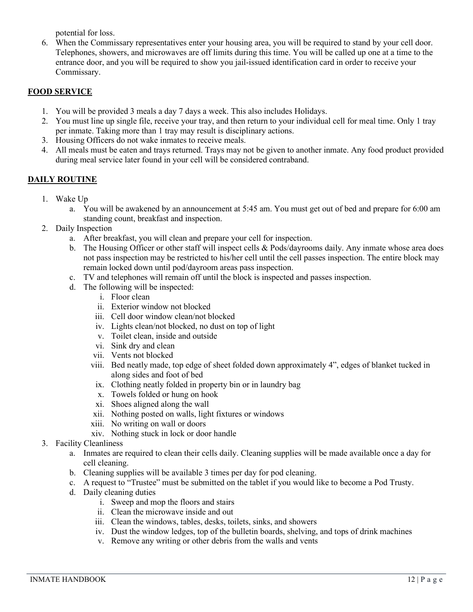potential for loss.

6. When the Commissary representatives enter your housing area, you will be required to stand by your cell door. Telephones, showers, and microwaves are off limits during this time. You will be called up one at a time to the entrance door, and you will be required to show you jail-issued identification card in order to receive your Commissary.

## **FOOD SERVICE**

- 1. You will be provided 3 meals a day 7 days a week. This also includes Holidays.
- 2. You must line up single file, receive your tray, and then return to your individual cell for meal time. Only 1 tray per inmate. Taking more than 1 tray may result is disciplinary actions.
- 3. Housing Officers do not wake inmates to receive meals.
- 4. All meals must be eaten and trays returned. Trays may not be given to another inmate. Any food product provided during meal service later found in your cell will be considered contraband.

## **DAILY ROUTINE**

- 1. Wake Up
	- a. You will be awakened by an announcement at 5:45 am. You must get out of bed and prepare for 6:00 am standing count, breakfast and inspection.
- 2. Daily Inspection
	- a. After breakfast, you will clean and prepare your cell for inspection.
	- b. The Housing Officer or other staff will inspect cells & Pods/dayrooms daily. Any inmate whose area does not pass inspection may be restricted to his/her cell until the cell passes inspection. The entire block may remain locked down until pod/dayroom areas pass inspection.
	- c. TV and telephones will remain off until the block is inspected and passes inspection.
	- d. The following will be inspected:
		- i. Floor clean
		- ii. Exterior window not blocked
		- iii. Cell door window clean/not blocked
		- iv. Lights clean/not blocked, no dust on top of light
		- v. Toilet clean, inside and outside
		- vi. Sink dry and clean
		- vii. Vents not blocked
		- viii. Bed neatly made, top edge of sheet folded down approximately 4", edges of blanket tucked in along sides and foot of bed
		- ix. Clothing neatly folded in property bin or in laundry bag
		- x. Towels folded or hung on hook
		- xi. Shoes aligned along the wall
		- xii. Nothing posted on walls, light fixtures or windows
		- xiii. No writing on wall or doors
		- xiv. Nothing stuck in lock or door handle
- 3. Facility Cleanliness
	- a. Inmates are required to clean their cells daily. Cleaning supplies will be made available once a day for cell cleaning.
	- b. Cleaning supplies will be available 3 times per day for pod cleaning.
	- c. A request to "Trustee" must be submitted on the tablet if you would like to become a Pod Trusty.
	- d. Daily cleaning duties
		- i. Sweep and mop the floors and stairs
		- ii. Clean the microwave inside and out
		- iii. Clean the windows, tables, desks, toilets, sinks, and showers
		- iv. Dust the window ledges, top of the bulletin boards, shelving, and tops of drink machines
		- v. Remove any writing or other debris from the walls and vents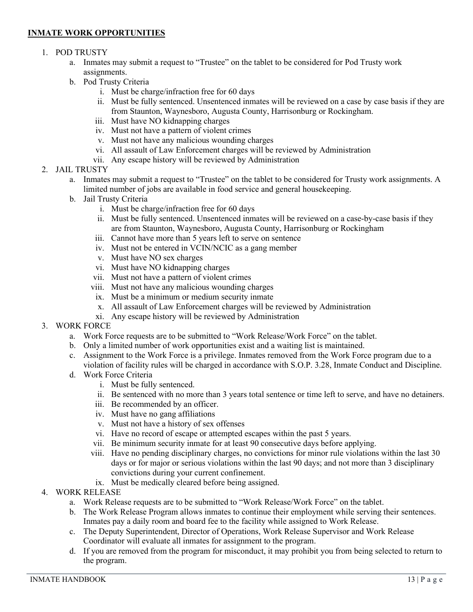#### **INMATE WORK OPPORTUNITIES**

#### 1. POD TRUSTY

- a. Inmates may submit a request to "Trustee" on the tablet to be considered for Pod Trusty work assignments.
- b. Pod Trusty Criteria
	- i. Must be charge/infraction free for 60 days
	- ii. Must be fully sentenced. Unsentenced inmates will be reviewed on a case by case basis if they are from Staunton, Waynesboro, Augusta County, Harrisonburg or Rockingham.
	- iii. Must have NO kidnapping charges
	- iv. Must not have a pattern of violent crimes
	- v. Must not have any malicious wounding charges
	- vi. All assault of Law Enforcement charges will be reviewed by Administration
	- vii. Any escape history will be reviewed by Administration
- 2. JAIL TRUSTY
	- a. Inmates may submit a request to "Trustee" on the tablet to be considered for Trusty work assignments. A limited number of jobs are available in food service and general housekeeping.
	- b. Jail Trusty Criteria
		- i. Must be charge/infraction free for 60 days
		- ii. Must be fully sentenced. Unsentenced inmates will be reviewed on a case-by-case basis if they are from Staunton, Waynesboro, Augusta County, Harrisonburg or Rockingham
		- iii. Cannot have more than 5 years left to serve on sentence
		- iv. Must not be entered in VCIN/NCIC as a gang member
		- v. Must have NO sex charges
		- vi. Must have NO kidnapping charges
		- vii. Must not have a pattern of violent crimes
		- viii. Must not have any malicious wounding charges
		- ix. Must be a minimum or medium security inmate
		- x. All assault of Law Enforcement charges will be reviewed by Administration
		- xi. Any escape history will be reviewed by Administration
- 3. WORK FORCE
	- a. Work Force requests are to be submitted to "Work Release/Work Force" on the tablet.
	- b. Only a limited number of work opportunities exist and a waiting list is maintained.
	- c. Assignment to the Work Force is a privilege. Inmates removed from the Work Force program due to a violation of facility rules will be charged in accordance with S.O.P. 3.28, Inmate Conduct and Discipline.
	- d. Work Force Criteria
		- i. Must be fully sentenced.
		- ii. Be sentenced with no more than 3 years total sentence or time left to serve, and have no detainers.
		- iii. Be recommended by an officer.
		- iv. Must have no gang affiliations
		- v. Must not have a history of sex offenses
		- vi. Have no record of escape or attempted escapes within the past 5 years.
		- vii. Be minimum security inmate for at least 90 consecutive days before applying.
		- viii. Have no pending disciplinary charges, no convictions for minor rule violations within the last 30 days or for major or serious violations within the last 90 days; and not more than 3 disciplinary convictions during your current confinement.
		- ix. Must be medically cleared before being assigned.
- 4. WORK RELEASE
	- a. Work Release requests are to be submitted to "Work Release/Work Force" on the tablet.
	- b. The Work Release Program allows inmates to continue their employment while serving their sentences. Inmates pay a daily room and board fee to the facility while assigned to Work Release.
	- c. The Deputy Superintendent, Director of Operations, Work Release Supervisor and Work Release Coordinator will evaluate all inmates for assignment to the program.
	- d. If you are removed from the program for misconduct, it may prohibit you from being selected to return to the program.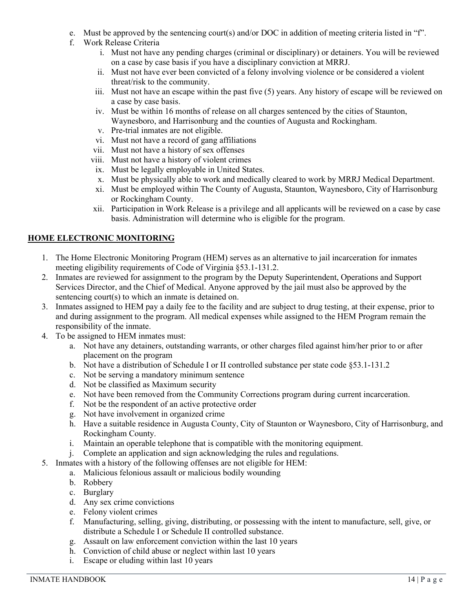- e. Must be approved by the sentencing court(s) and/or DOC in addition of meeting criteria listed in "f".
- f. Work Release Criteria
	- i. Must not have any pending charges (criminal or disciplinary) or detainers. You will be reviewed on a case by case basis if you have a disciplinary conviction at MRRJ.
	- ii. Must not have ever been convicted of a felony involving violence or be considered a violent threat/risk to the community.
	- iii. Must not have an escape within the past five (5) years. Any history of escape will be reviewed on a case by case basis.
	- iv. Must be within 16 months of release on all charges sentenced by the cities of Staunton, Waynesboro, and Harrisonburg and the counties of Augusta and Rockingham.
	- v. Pre-trial inmates are not eligible.
	- vi. Must not have a record of gang affiliations
	- vii. Must not have a history of sex offenses
	- viii. Must not have a history of violent crimes
	- ix. Must be legally employable in United States.
	- x. Must be physically able to work and medically cleared to work by MRRJ Medical Department.
	- xi. Must be employed within The County of Augusta, Staunton, Waynesboro, City of Harrisonburg or Rockingham County.
	- xii. Participation in Work Release is a privilege and all applicants will be reviewed on a case by case basis. Administration will determine who is eligible for the program.

# **HOME ELECTRONIC MONITORING**

- 1. The Home Electronic Monitoring Program (HEM) serves as an alternative to jail incarceration for inmates meeting eligibility requirements of Code of Virginia §53.1-131.2.
- 2. Inmates are reviewed for assignment to the program by the Deputy Superintendent, Operations and Support Services Director, and the Chief of Medical. Anyone approved by the jail must also be approved by the sentencing court(s) to which an inmate is detained on.
- 3. Inmates assigned to HEM pay a daily fee to the facility and are subject to drug testing, at their expense, prior to and during assignment to the program. All medical expenses while assigned to the HEM Program remain the responsibility of the inmate.
- 4. To be assigned to HEM inmates must:
	- a. Not have any detainers, outstanding warrants, or other charges filed against him/her prior to or after placement on the program
	- b. Not have a distribution of Schedule I or II controlled substance per state code §53.1-131.2
	- c. Not be serving a mandatory minimum sentence
	- d. Not be classified as Maximum security
	- e. Not have been removed from the Community Corrections program during current incarceration.
	- f. Not be the respondent of an active protective order
	- g. Not have involvement in organized crime
	- h. Have a suitable residence in Augusta County, City of Staunton or Waynesboro, City of Harrisonburg, and Rockingham County.
	- i. Maintain an operable telephone that is compatible with the monitoring equipment.
	- j. Complete an application and sign acknowledging the rules and regulations.
- 5. Inmates with a history of the following offenses are not eligible for HEM:
	- a. Malicious felonious assault or malicious bodily wounding
	- b. Robbery
	- c. Burglary
	- d. Any sex crime convictions
	- e. Felony violent crimes
	- f. Manufacturing, selling, giving, distributing, or possessing with the intent to manufacture, sell, give, or distribute a Schedule I or Schedule II controlled substance.
	- g. Assault on law enforcement conviction within the last 10 years
	- h. Conviction of child abuse or neglect within last 10 years
	- i. Escape or eluding within last 10 years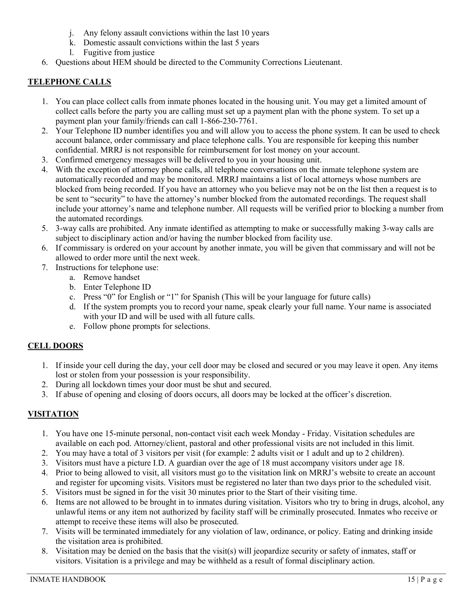- j. Any felony assault convictions within the last 10 years
- k. Domestic assault convictions within the last 5 years
- l. Fugitive from justice
- 6. Questions about HEM should be directed to the Community Corrections Lieutenant.

#### **TELEPHONE CALLS**

- 1. You can place collect calls from inmate phones located in the housing unit. You may get a limited amount of collect calls before the party you are calling must set up a payment plan with the phone system. To set up a payment plan your family/friends can call 1-866-230-7761.
- 2. Your Telephone ID number identifies you and will allow you to access the phone system. It can be used to check account balance, order commissary and place telephone calls. You are responsible for keeping this number confidential. MRRJ is not responsible for reimbursement for lost money on your account.
- 3. Confirmed emergency messages will be delivered to you in your housing unit.
- 4. With the exception of attorney phone calls, all telephone conversations on the inmate telephone system are automatically recorded and may be monitored. MRRJ maintains a list of local attorneys whose numbers are blocked from being recorded. If you have an attorney who you believe may not be on the list then a request is to be sent to "security" to have the attorney's number blocked from the automated recordings. The request shall include your attorney's name and telephone number. All requests will be verified prior to blocking a number from the automated recordings*.*
- 5. 3-way calls are prohibited. Any inmate identified as attempting to make or successfully making 3-way calls are subject to disciplinary action and/or having the number blocked from facility use.
- 6. If commissary is ordered on your account by another inmate, you will be given that commissary and will not be allowed to order more until the next week.
- 7. Instructions for telephone use:
	- a. Remove handset
	- b. Enter Telephone ID
	- c. Press "0" for English or "1" for Spanish (This will be your language for future calls)
	- d. If the system prompts you to record your name, speak clearly your full name. Your name is associated with your ID and will be used with all future calls.
	- e. Follow phone prompts for selections.

#### **CELL DOORS**

- 1. If inside your cell during the day, your cell door may be closed and secured or you may leave it open. Any items lost or stolen from your possession is your responsibility.
- 2. During all lockdown times your door must be shut and secured.
- 3. If abuse of opening and closing of doors occurs, all doors may be locked at the officer's discretion.

## **VISITATION**

- 1. You have one 15-minute personal, non-contact visit each week Monday Friday. Visitation schedules are available on each pod. Attorney/client, pastoral and other professional visits are not included in this limit.
- 2. You may have a total of 3 visitors per visit (for example: 2 adults visit or 1 adult and up to 2 children).
- 3. Visitors must have a picture I.D. A guardian over the age of 18 must accompany visitors under age 18.
- 4. Prior to being allowed to visit, all visitors must go to the visitation link on MRRJ's website to create an account and register for upcoming visits. Visitors must be registered no later than two days prior to the scheduled visit.
- 5. Visitors must be signed in for the visit 30 minutes prior to the Start of their visiting time.
- 6. Items are not allowed to be brought in to inmates during visitation. Visitors who try to bring in drugs, alcohol, any unlawful items or any item not authorized by facility staff will be criminally prosecuted. Inmates who receive or attempt to receive these items will also be prosecuted.
- 7. Visits will be terminated immediately for any violation of law, ordinance, or policy. Eating and drinking inside the visitation area is prohibited.
- 8. Visitation may be denied on the basis that the visit(s) will jeopardize security or safety of inmates, staff or visitors. Visitation is a privilege and may be withheld as a result of formal disciplinary action.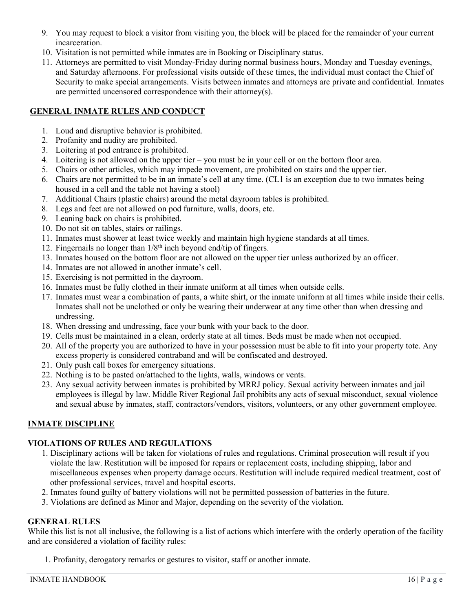- 9. You may request to block a visitor from visiting you, the block will be placed for the remainder of your current incarceration.
- 10. Visitation is not permitted while inmates are in Booking or Disciplinary status.
- 11. Attorneys are permitted to visit Monday-Friday during normal business hours, Monday and Tuesday evenings, and Saturday afternoons. For professional visits outside of these times, the individual must contact the Chief of Security to make special arrangements. Visits between inmates and attorneys are private and confidential. Inmates are permitted uncensored correspondence with their attorney(s).

## **GENERAL INMATE RULES AND CONDUCT**

- 1. Loud and disruptive behavior is prohibited.
- 2. Profanity and nudity are prohibited.
- 3. Loitering at pod entrance is prohibited.
- 4. Loitering is not allowed on the upper tier you must be in your cell or on the bottom floor area.
- 5. Chairs or other articles, which may impede movement, are prohibited on stairs and the upper tier.
- 6. Chairs are not permitted to be in an inmate's cell at any time. (CL1 is an exception due to two inmates being housed in a cell and the table not having a stool)
- 7. Additional Chairs (plastic chairs) around the metal dayroom tables is prohibited.
- 8. Legs and feet are not allowed on pod furniture, walls, doors, etc.
- 9. Leaning back on chairs is prohibited.
- 10. Do not sit on tables, stairs or railings.
- 11. Inmates must shower at least twice weekly and maintain high hygiene standards at all times.
- 12. Fingernails no longer than  $1/8<sup>th</sup>$  inch beyond end/tip of fingers.
- 13. Inmates housed on the bottom floor are not allowed on the upper tier unless authorized by an officer.
- 14. Inmates are not allowed in another inmate's cell.
- 15. Exercising is not permitted in the dayroom.
- 16. Inmates must be fully clothed in their inmate uniform at all times when outside cells.
- 17. Inmates must wear a combination of pants, a white shirt, or the inmate uniform at all times while inside their cells. Inmates shall not be unclothed or only be wearing their underwear at any time other than when dressing and undressing.
- 18. When dressing and undressing, face your bunk with your back to the door.
- 19. Cells must be maintained in a clean, orderly state at all times. Beds must be made when not occupied.
- 20. All of the property you are authorized to have in your possession must be able to fit into your property tote. Any excess property is considered contraband and will be confiscated and destroyed.
- 21. Only push call boxes for emergency situations.
- 22. Nothing is to be pasted on/attached to the lights, walls, windows or vents.
- 23. Any sexual activity between inmates is prohibited by MRRJ policy. Sexual activity between inmates and jail employees is illegal by law. Middle River Regional Jail prohibits any acts of sexual misconduct, sexual violence and sexual abuse by inmates, staff, contractors/vendors, visitors, volunteers, or any other government employee.

## **INMATE DISCIPLINE**

# **VIOLATIONS OF RULES AND REGULATIONS**

- 1. Disciplinary actions will be taken for violations of rules and regulations. Criminal prosecution will result if you violate the law. Restitution will be imposed for repairs or replacement costs, including shipping, labor and miscellaneous expenses when property damage occurs. Restitution will include required medical treatment, cost of other professional services, travel and hospital escorts.
- 2. Inmates found guilty of battery violations will not be permitted possession of batteries in the future.
- 3. Violations are defined as Minor and Major, depending on the severity of the violation.

# **GENERAL RULES**

While this list is not all inclusive, the following is a list of actions which interfere with the orderly operation of the facility and are considered a violation of facility rules:

1. Profanity, derogatory remarks or gestures to visitor, staff or another inmate.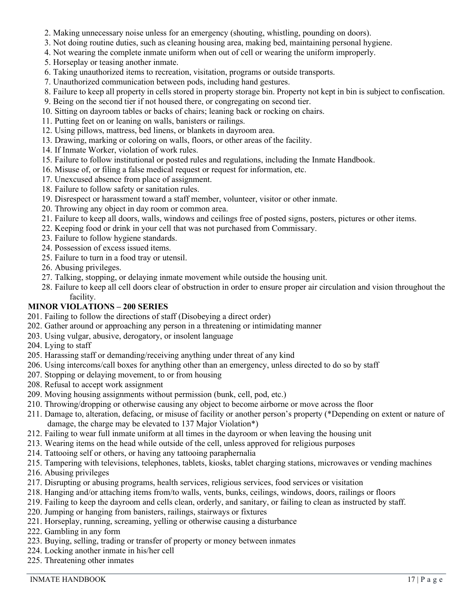- 2. Making unnecessary noise unless for an emergency (shouting, whistling, pounding on doors).
- 3. Not doing routine duties, such as cleaning housing area, making bed, maintaining personal hygiene.
- 4. Not wearing the complete inmate uniform when out of cell or wearing the uniform improperly.
- 5. Horseplay or teasing another inmate.
- 6. Taking unauthorized items to recreation, visitation, programs or outside transports.
- 7. Unauthorized communication between pods, including hand gestures.
- 8. Failure to keep all property in cells stored in property storage bin. Property not kept in bin is subject to confiscation.
- 9. Being on the second tier if not housed there, or congregating on second tier.
- 10. Sitting on dayroom tables or backs of chairs; leaning back or rocking on chairs.
- 11. Putting feet on or leaning on walls, banisters or railings.
- 12. Using pillows, mattress, bed linens, or blankets in dayroom area.
- 13. Drawing, marking or coloring on walls, floors, or other areas of the facility.
- 14. If Inmate Worker, violation of work rules.
- 15. Failure to follow institutional or posted rules and regulations, including the Inmate Handbook.
- 16. Misuse of, or filing a false medical request or request for information, etc.
- 17. Unexcused absence from place of assignment.
- 18. Failure to follow safety or sanitation rules.
- 19. Disrespect or harassment toward a staff member, volunteer, visitor or other inmate.
- 20. Throwing any object in day room or common area.
- 21. Failure to keep all doors, walls, windows and ceilings free of posted signs, posters, pictures or other items.
- 22. Keeping food or drink in your cell that was not purchased from Commissary.
- 23. Failure to follow hygiene standards.
- 24. Possession of excess issued items.
- 25. Failure to turn in a food tray or utensil.
- 26. Abusing privileges.
- 27. Talking, stopping, or delaying inmate movement while outside the housing unit.
- 28. Failure to keep all cell doors clear of obstruction in order to ensure proper air circulation and vision throughout the facility.

#### **MINOR VIOLATIONS – 200 SERIES**

- 201. Failing to follow the directions of staff (Disobeying a direct order)
- 202. Gather around or approaching any person in a threatening or intimidating manner
- 203. Using vulgar, abusive, derogatory, or insolent language
- 204. Lying to staff
- 205. Harassing staff or demanding/receiving anything under threat of any kind
- 206. Using intercoms/call boxes for anything other than an emergency, unless directed to do so by staff
- 207. Stopping or delaying movement, to or from housing
- 208. Refusal to accept work assignment
- 209. Moving housing assignments without permission (bunk, cell, pod, etc.)
- 210. Throwing/dropping or otherwise causing any object to become airborne or move across the floor
- 211. Damage to, alteration, defacing, or misuse of facility or another person's property (\*Depending on extent or nature of damage, the charge may be elevated to 137 Major Violation\*)
- 212. Failing to wear full inmate uniform at all times in the dayroom or when leaving the housing unit
- 213. Wearing items on the head while outside of the cell, unless approved for religious purposes
- 214. Tattooing self or others, or having any tattooing paraphernalia
- 215. Tampering with televisions, telephones, tablets, kiosks, tablet charging stations, microwaves or vending machines
- 216. Abusing privileges
- 217. Disrupting or abusing programs, health services, religious services, food services or visitation
- 218. Hanging and/or attaching items from/to walls, vents, bunks, ceilings, windows, doors, railings or floors
- 219. Failing to keep the dayroom and cells clean, orderly, and sanitary, or failing to clean as instructed by staff.
- 220. Jumping or hanging from banisters, railings, stairways or fixtures
- 221. Horseplay, running, screaming, yelling or otherwise causing a disturbance
- 222. Gambling in any form
- 223. Buying, selling, trading or transfer of property or money between inmates
- 224. Locking another inmate in his/her cell
- 225. Threatening other inmates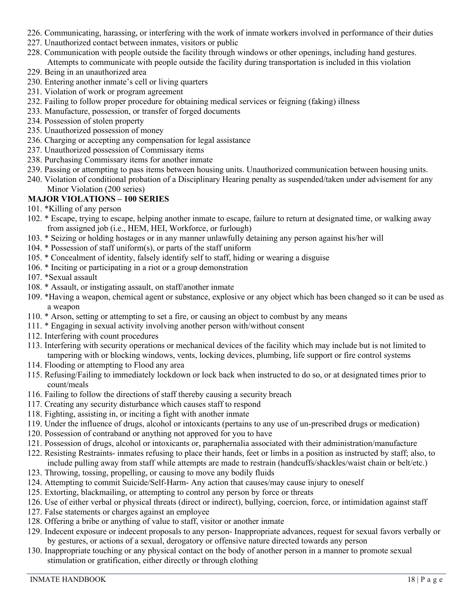- 226. Communicating, harassing, or interfering with the work of inmate workers involved in performance of their duties
- 227. Unauthorized contact between inmates, visitors or public
- 228. Communication with people outside the facility through windows or other openings, including hand gestures. Attempts to communicate with people outside the facility during transportation is included in this violation
- 229. Being in an unauthorized area
- 230. Entering another inmate's cell or living quarters
- 231. Violation of work or program agreement
- 232. Failing to follow proper procedure for obtaining medical services or feigning (faking) illness
- 233. Manufacture, possession, or transfer of forged documents
- 234. Possession of stolen property
- 235. Unauthorized possession of money
- 236. Charging or accepting any compensation for legal assistance
- 237. Unauthorized possession of Commissary items
- 238. Purchasing Commissary items for another inmate
- 239. Passing or attempting to pass items between housing units. Unauthorized communication between housing units.
- 240. Violation of conditional probation of a Disciplinary Hearing penalty as suspended/taken under advisement for any Minor Violation (200 series)

# **MAJOR VIOLATIONS – 100 SERIES**

- 101. \*Killing of any person
- 102. \* Escape, trying to escape, helping another inmate to escape, failure to return at designated time, or walking away from assigned job (i.e., HEM, HEI, Workforce, or furlough)
- 103. \* Seizing or holding hostages or in any manner unlawfully detaining any person against his/her will
- 104. \* Possession of staff uniform(s), or parts of the staff uniform
- 105. \* Concealment of identity, falsely identify self to staff, hiding or wearing a disguise
- 106. \* Inciting or participating in a riot or a group demonstration
- 107. \*Sexual assault
- 108. \* Assault, or instigating assault, on staff/another inmate
- 109. \*Having a weapon, chemical agent or substance, explosive or any object which has been changed so it can be used as a weapon
- 110. \* Arson, setting or attempting to set a fire, or causing an object to combust by any means
- 111. \* Engaging in sexual activity involving another person with/without consent
- 112. Interfering with count procedures
- 113. Interfering with security operations or mechanical devices of the facility which may include but is not limited to tampering with or blocking windows, vents, locking devices, plumbing, life support or fire control systems
- 114. Flooding or attempting to Flood any area
- 115. Refusing/Failing to immediately lockdown or lock back when instructed to do so, or at designated times prior to count/meals
- 116. Failing to follow the directions of staff thereby causing a security breach
- 117. Creating any security disturbance which causes staff to respond
- 118. Fighting, assisting in, or inciting a fight with another inmate
- 119. Under the influence of drugs, alcohol or intoxicants (pertains to any use of un-prescribed drugs or medication)
- 120. Possession of contraband or anything not approved for you to have
- 121. Possession of drugs, alcohol or intoxicants or, paraphernalia associated with their administration/manufacture
- 122. Resisting Restraints- inmates refusing to place their hands, feet or limbs in a position as instructed by staff; also, to include pulling away from staff while attempts are made to restrain (handcuffs/shackles/waist chain or belt/etc.)
- 123. Throwing, tossing, propelling, or causing to move any bodily fluids
- 124. Attempting to commit Suicide/Self-Harm- Any action that causes/may cause injury to oneself
- 125. Extorting, blackmailing, or attempting to control any person by force or threats
- 126. Use of either verbal or physical threats (direct or indirect), bullying, coercion, force, or intimidation against staff
- 127. False statements or charges against an employee
- 128. Offering a bribe or anything of value to staff, visitor or another inmate
- 129. Indecent exposure or indecent proposals to any person- Inappropriate advances, request for sexual favors verbally or by gestures, or actions of a sexual, derogatory or offensive nature directed towards any person
- 130. Inappropriate touching or any physical contact on the body of another person in a manner to promote sexual stimulation or gratification, either directly or through clothing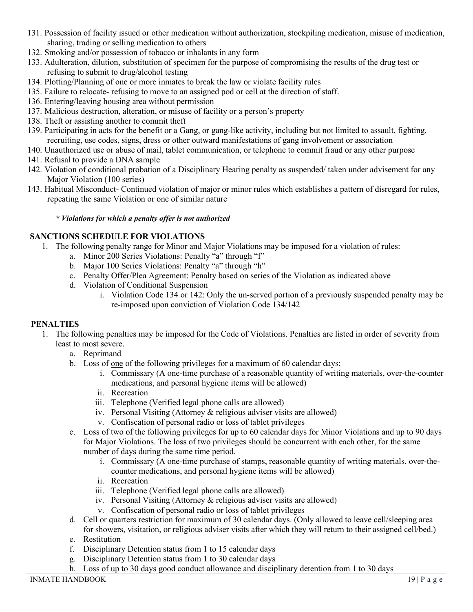- 131. Possession of facility issued or other medication without authorization, stockpiling medication, misuse of medication, sharing, trading or selling medication to others
- 132. Smoking and/or possession of tobacco or inhalants in any form
- 133. Adulteration, dilution, substitution of specimen for the purpose of compromising the results of the drug test or refusing to submit to drug/alcohol testing
- 134. Plotting/Planning of one or more inmates to break the law or violate facility rules
- 135. Failure to relocate- refusing to move to an assigned pod or cell at the direction of staff.
- 136. Entering/leaving housing area without permission
- 137. Malicious destruction, alteration, or misuse of facility or a person's property
- 138. Theft or assisting another to commit theft
- 139. Participating in acts for the benefit or a Gang, or gang-like activity, including but not limited to assault, fighting, recruiting, use codes, signs, dress or other outward manifestations of gang involvement or association
- 140. Unauthorized use or abuse of mail, tablet communication, or telephone to commit fraud or any other purpose
- 141. Refusal to provide a DNA sample
- 142. Violation of conditional probation of a Disciplinary Hearing penalty as suspended/ taken under advisement for any Major Violation (100 series)
- 143. Habitual Misconduct- Continued violation of major or minor rules which establishes a pattern of disregard for rules, repeating the same Violation or one of similar nature

#### *\* Violations for which a penalty offer is not authorized*

#### **SANCTIONS SCHEDULE FOR VIOLATIONS**

- 1. The following penalty range for Minor and Major Violations may be imposed for a violation of rules:
	- a. Minor 200 Series Violations: Penalty "a" through "f"
	- b. Major 100 Series Violations: Penalty "a" through "h"
	- c. Penalty Offer/Plea Agreement: Penalty based on series of the Violation as indicated above
	- d. Violation of Conditional Suspension
		- i. Violation Code 134 or 142: Only the un-served portion of a previously suspended penalty may be re-imposed upon conviction of Violation Code 134/142

#### **PENALTIES**

- 1. The following penalties may be imposed for the Code of Violations. Penalties are listed in order of severity from least to most severe.
	- a. Reprimand
	- b. Loss of one of the following privileges for a maximum of 60 calendar days:
		- i. Commissary (A one-time purchase of a reasonable quantity of writing materials, over-the-counter medications, and personal hygiene items will be allowed)
		- ii. Recreation
		- iii. Telephone (Verified legal phone calls are allowed)
		- iv. Personal Visiting (Attorney & religious adviser visits are allowed)
		- v. Confiscation of personal radio or loss of tablet privileges
	- c. Loss of two of the following privileges for up to 60 calendar days for Minor Violations and up to 90 days for Major Violations. The loss of two privileges should be concurrent with each other, for the same number of days during the same time period.
		- i. Commissary (A one-time purchase of stamps, reasonable quantity of writing materials, over-thecounter medications, and personal hygiene items will be allowed)
		- ii. Recreation
		- iii. Telephone (Verified legal phone calls are allowed)
		- iv. Personal Visiting (Attorney & religious adviser visits are allowed)
		- v. Confiscation of personal radio or loss of tablet privileges
	- d. Cell or quarters restriction for maximum of 30 calendar days. (Only allowed to leave cell/sleeping area for showers, visitation, or religious adviser visits after which they will return to their assigned cell/bed.)
	- e. Restitution
	- f. Disciplinary Detention status from 1 to 15 calendar days
	- g. Disciplinary Detention status from 1 to 30 calendar days
	- h. Loss of up to 30 days good conduct allowance and disciplinary detention from 1 to 30 days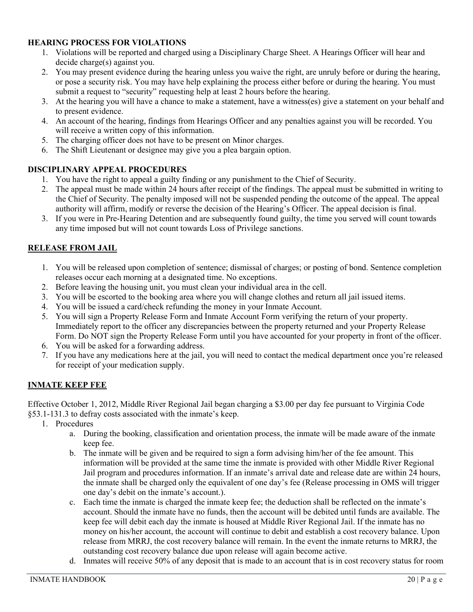## **HEARING PROCESS FOR VIOLATIONS**

- 1. Violations will be reported and charged using a Disciplinary Charge Sheet. A Hearings Officer will hear and decide charge(s) against you.
- 2. You may present evidence during the hearing unless you waive the right, are unruly before or during the hearing, or pose a security risk. You may have help explaining the process either before or during the hearing. You must submit a request to "security" requesting help at least 2 hours before the hearing.
- 3. At the hearing you will have a chance to make a statement, have a witness(es) give a statement on your behalf and to present evidence.
- 4. An account of the hearing, findings from Hearings Officer and any penalties against you will be recorded. You will receive a written copy of this information.
- 5. The charging officer does not have to be present on Minor charges.
- 6. The Shift Lieutenant or designee may give you a plea bargain option.

#### **DISCIPLINARY APPEAL PROCEDURES**

- 1. You have the right to appeal a guilty finding or any punishment to the Chief of Security.
- 2. The appeal must be made within 24 hours after receipt of the findings. The appeal must be submitted in writing to the Chief of Security. The penalty imposed will not be suspended pending the outcome of the appeal. The appeal authority will affirm, modify or reverse the decision of the Hearing's Officer. The appeal decision is final.
- 3. If you were in Pre-Hearing Detention and are subsequently found guilty, the time you served will count towards any time imposed but will not count towards Loss of Privilege sanctions.

#### **RELEASE FROM JAIL**

- 1. You will be released upon completion of sentence; dismissal of charges; or posting of bond. Sentence completion releases occur each morning at a designated time. No exceptions.
- 2. Before leaving the housing unit, you must clean your individual area in the cell.
- 3. You will be escorted to the booking area where you will change clothes and return all jail issued items.
- 4. You will be issued a card/check refunding the money in your Inmate Account.
- 5. You will sign a Property Release Form and Inmate Account Form verifying the return of your property. Immediately report to the officer any discrepancies between the property returned and your Property Release Form. Do NOT sign the Property Release Form until you have accounted for your property in front of the officer.
- 6. You will be asked for a forwarding address.
- 7. If you have any medications here at the jail, you will need to contact the medical department once you're released for receipt of your medication supply.

#### **INMATE KEEP FEE**

Effective October 1, 2012, Middle River Regional Jail began charging a \$3.00 per day fee pursuant to Virginia Code §53.1-131.3 to defray costs associated with the inmate's keep.

- 1. Procedures
	- a. During the booking, classification and orientation process, the inmate will be made aware of the inmate keep fee.
	- b. The inmate will be given and be required to sign a form advising him/her of the fee amount. This information will be provided at the same time the inmate is provided with other Middle River Regional Jail program and procedures information. If an inmate's arrival date and release date are within 24 hours, the inmate shall be charged only the equivalent of one day's fee (Release processing in OMS will trigger one day's debit on the inmate's account.).
	- c. Each time the inmate is charged the inmate keep fee; the deduction shall be reflected on the inmate's account. Should the inmate have no funds, then the account will be debited until funds are available. The keep fee will debit each day the inmate is housed at Middle River Regional Jail. If the inmate has no money on his/her account, the account will continue to debit and establish a cost recovery balance. Upon release from MRRJ, the cost recovery balance will remain. In the event the inmate returns to MRRJ, the outstanding cost recovery balance due upon release will again become active.
	- d. Inmates will receive 50% of any deposit that is made to an account that is in cost recovery status for room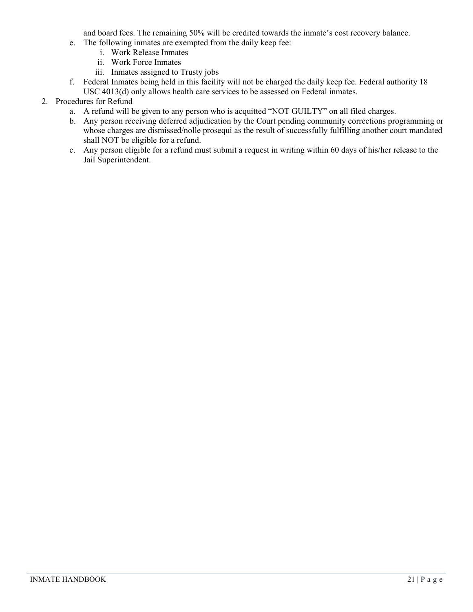and board fees. The remaining 50% will be credited towards the inmate's cost recovery balance.

- e. The following inmates are exempted from the daily keep fee:
	- i. Work Release Inmates
	- ii. Work Force Inmates
	- iii. Inmates assigned to Trusty jobs
- f. Federal Inmates being held in this facility will not be charged the daily keep fee. Federal authority 18 USC 4013(d) only allows health care services to be assessed on Federal inmates.
- 2. Procedures for Refund
	- a. A refund will be given to any person who is acquitted "NOT GUILTY" on all filed charges.
	- b. Any person receiving deferred adjudication by the Court pending community corrections programming or whose charges are dismissed/nolle prosequi as the result of successfully fulfilling another court mandated shall NOT be eligible for a refund.
	- c. Any person eligible for a refund must submit a request in writing within 60 days of his/her release to the Jail Superintendent.